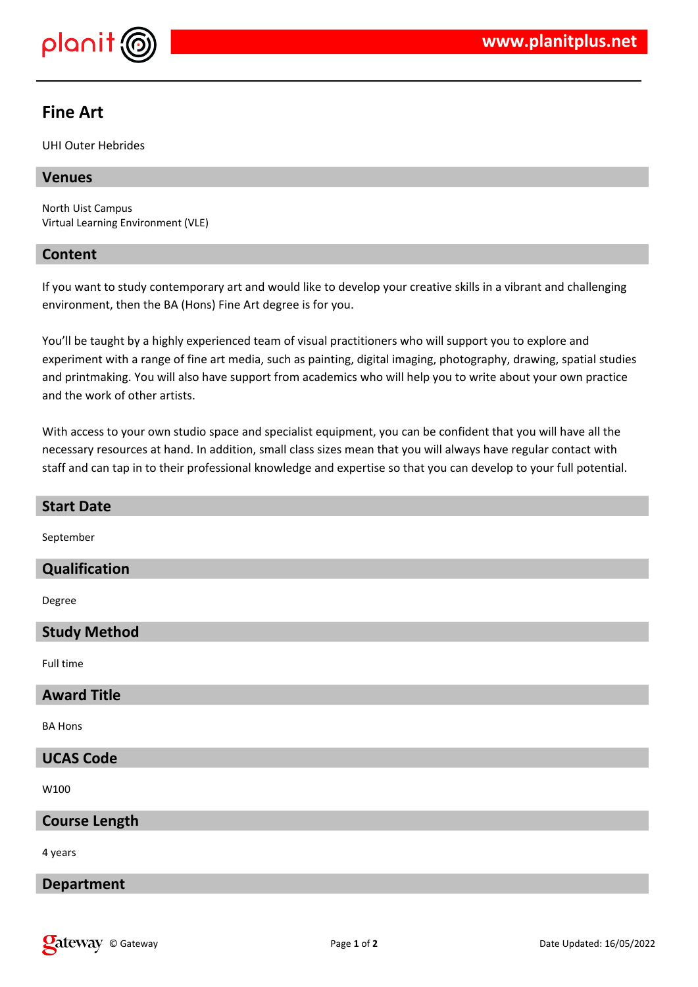

# **Fine Art**

UHI Outer Hebrides

# **Venues**

North Uist Campus Virtual Learning Environment (VLE)

### **Content**

If you want to study contemporary art and would like to develop your creative skills in a vibrant and challenging environment, then the BA (Hons) Fine Art degree is for you.

You'll be taught by a highly experienced team of visual practitioners who will support you to explore and experiment with a range of fine art media, such as painting, digital imaging, photography, drawing, spatial studies and printmaking. You will also have support from academics who will help you to write about your own practice and the work of other artists.

With access to your own studio space and specialist equipment, you can be confident that you will have all the necessary resources at hand. In addition, small class sizes mean that you will always have regular contact with staff and can tap in to their professional knowledge and expertise so that you can develop to your full potential.

| <b>Start Date</b>    |
|----------------------|
| September            |
| Qualification        |
| Degree               |
| <b>Study Method</b>  |
| Full time            |
| <b>Award Title</b>   |
| <b>BA Hons</b>       |
| <b>UCAS Code</b>     |
| W100                 |
| <b>Course Length</b> |
| 4 years              |
| <b>Department</b>    |